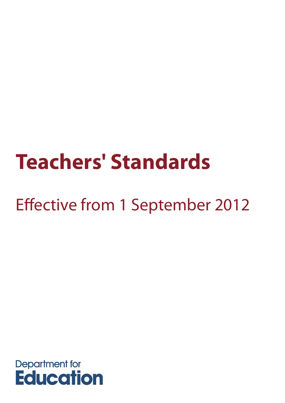# **Teachers' Standards**

# Effective from 1 September 2012

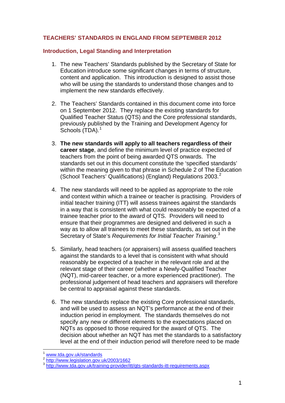# **TEACHERS' STANDARDS IN ENGLAND FROM SEPTEMBER 2012**

#### **Introduction, Legal Standing and Interpretation**

- 1. The new Teachers' Standards published by the Secretary of State for Education introduce some significant changes in terms of structure, content and application. This introduction is designed to assist those who will be using the standards to understand those changes and to implement the new standards effectively.
- 2. The Teachers' Standards contained in this document come into force on 1 September 2012. They replace the existing standards for Qualified Teacher Status (QTS) and the Core professional standards, previously published by the Training and Development Agency for Schools (TDA).<sup>[1](#page-1-0)</sup>
- 3. **The new standards will apply to all teachers regardless of their career stage**, and define the minimum level of practice expected of teachers from the point of being awarded QTS onwards. The standards set out in this document constitute the 'specified standards' within the meaning given to that phrase in Schedule 2 of The Education (School Teachers' Qualifications) (England) Regulations [2](#page-1-1)003.<sup>2</sup>
- 4. The new standards will need to be applied as appropriate to the role and context within which a trainee or teacher is practising. Providers of initial teacher training (ITT) will assess trainees against the standards in a way that is consistent with what could reasonably be expected of a trainee teacher prior to the award of QTS. Providers will need to ensure that their programmes are designed and delivered in such a way as to allow all trainees to meet these standards, as set out in the Secretary of State's *Requirements for Initial Teacher Training*. [3](#page-1-2)
- 5. Similarly, head teachers (or appraisers) will assess qualified teachers against the standards to a level that is consistent with what should reasonably be expected of a teacher in the relevant role and at the relevant stage of their career (whether a Newly-Qualified Teacher (NQT), mid-career teacher, or a more experienced practitioner). The professional judgement of head teachers and appraisers will therefore be central to appraisal against these standards.
- 6. The new standards replace the existing Core professional standards, and will be used to assess an NQT's performance at the end of their induction period in employment. The standards themselves do not specify any new or different elements to the expectations placed on NQTs as opposed to those required for the award of QTS. The decision about whether an NQT has met the standards to a satisfactory level at the end of their induction period will therefore need to be made

1

<span id="page-1-2"></span><span id="page-1-1"></span>

<span id="page-1-0"></span><sup>1</sup> www.tda.gov.uk/standards<br><sup>2</sup> http://www.legislation.gov.uk/2003/1662<br><sup>3</sup> http://www.tda.gov.uk/training-provider/itt/qts-standards-itt-requirements.aspx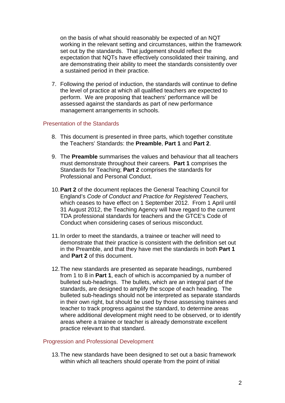on the basis of what should reasonably be expected of an NQT working in the relevant setting and circumstances, within the framework set out by the standards. That judgement should reflect the expectation that NQTs have effectively consolidated their training, and are demonstrating their ability to meet the standards consistently over a sustained period in their practice.

7. Following the period of induction, the standards will continue to define the level of practice at which all qualified teachers are expected to perform. We are proposing that teachers' performance will be assessed against the standards as part of new performance management arrangements in schools.

#### Presentation of the Standards

- 8. This document is presented in three parts, which together constitute the Teachers' Standards: the **Preamble**, **Part 1** and **Part 2**.
- 9. The **Preamble** summarises the values and behaviour that all teachers must demonstrate throughout their careers. **Part 1** comprises the Standards for Teaching; **Part 2** comprises the standards for Professional and Personal Conduct.
- 10.**Part 2** of the document replaces the General Teaching Council for England's *Code of Conduct and Practice for Registered Teachers,* which ceases to have effect on 1 September 2012. From 1 April until 31 August 2012, the Teaching Agency will have regard to the current TDA professional standards for teachers and the GTCE's Code of Conduct when considering cases of serious misconduct.
- 11. In order to meet the standards, a trainee or teacher will need to demonstrate that their practice is consistent with the definition set out in the Preamble, and that they have met the standards in both **Part 1** and **Part 2** of this document.
- 12. The new standards are presented as separate headings, numbered from 1 to 8 in **Part 1**, each of which is accompanied by a number of bulleted sub-headings. The bullets, which are an integral part of the standards, are designed to amplify the scope of each heading. The bulleted sub-headings should not be interpreted as separate standards in their own right, but should be used by those assessing trainees and teacher to track progress against the standard, to determine areas where additional development might need to be observed, or to identify areas where a trainee or teacher is already demonstrate excellent practice relevant to that standard.

#### Progression and Professional Development

13. The new standards have been designed to set out a basic framework within which all teachers should operate from the point of initial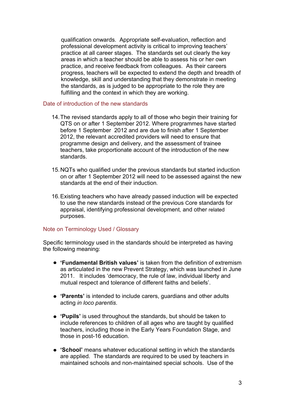qualification onwards. Appropriate self-evaluation, reflection and professional development activity is critical to improving teachers' practice at all career stages. The standards set out clearly the key areas in which a teacher should be able to assess his or her own practice, and receive feedback from colleagues. As their careers progress, teachers will be expected to extend the depth and breadth of knowledge, skill and understanding that they demonstrate in meeting the standards, as is judged to be appropriate to the role they are fulfilling and the context in which they are working.

#### Date of introduction of the new standards

- 14.The revised standards apply to all of those who begin their training for QTS on or after 1 September 2012. Where programmes have started before 1 September 2012 and are due to finish after 1 September 2012, the relevant accredited providers will need to ensure that programme design and delivery, and the assessment of trainee teachers, take proportionate account of the introduction of the new standards.
- 15.NQTs who qualified under the previous standards but started induction on or after 1 September 2012 will need to be assessed against the new standards at the end of their induction.
- 16.Existing teachers who have already passed induction will be expected to use the new standards instead of the previous Core standards for appraisal, identifying professional development, and other related purposes.

#### Note on Terminology Used / Glossary

Specific terminology used in the standards should be interpreted as having the following meaning:

- **'Fundamental British values'** is taken from the definition of extremism as articulated in the new Prevent Strategy, which was launched in June 2011. It includes 'democracy, the rule of law, individual liberty and mutual respect and tolerance of different faiths and beliefs'.
- **'Parents'** is intended to include carers, guardians and other adults acting *in loco parentis*.
- **'Pupils'** is used throughout the standards, but should be taken to include references to children of all ages who are taught by qualified teachers, including those in the Early Years Foundation Stage, and those in post-16 education.
- **'School'** means whatever educational setting in which the standards are applied. The standards are required to be used by teachers in maintained schools and non-maintained special schools. Use of the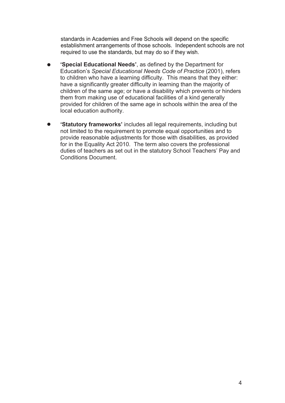standards in Academies and Free Schools will depend on the specific establishment arrangements of those schools. Independent schools are not required to use the standards, but may do so if they wish.

- **'Special Educational Needs'**, as defined by the Department for Education's *Special Educational Needs Code of Practice* (2001), refers to children who have a learning difficulty. This means that they either: have a significantly greater difficulty in learning than the majority of children of the same age; or have a disability which prevents or hinders them from making use of educational facilities of a kind generally provided for children of the same age in schools within the area of the local education authority.
- $\bullet$ **'Statutory frameworks'** includes all legal requirements, including but not limited to the requirement to promote equal opportunities and to provide reasonable adjustments for those with disabilities, as provided for in the Equality Act 2010. The term also covers the professional duties of teachers as set out in the statutory School Teachers' Pay and Conditions Document.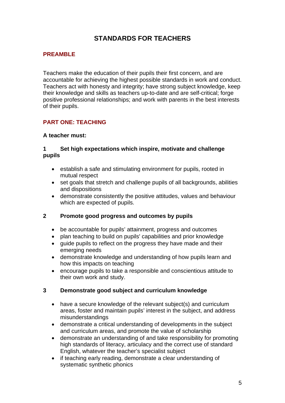# **STANDARDS FOR TEACHERS**

# **PREAMBLE**

Teachers make the education of their pupils their first concern, and are accountable for achieving the highest possible standards in work and conduct. Teachers act with honesty and integrity; have strong subject knowledge, keep their knowledge and skills as teachers up-to-date and are self-critical; forge positive professional relationships; and work with parents in the best interests of their pupils.

# **PART ONE: TEACHING**

#### **A teacher must:**

#### **1 Set high expectations which inspire, motivate and challenge pupils**

- establish a safe and stimulating environment for pupils, rooted in mutual respect
- set goals that stretch and challenge pupils of all backgrounds, abilities and dispositions
- demonstrate consistently the positive attitudes, values and behaviour which are expected of pupils.

# **2 Promote good progress and outcomes by pupils**

- be accountable for pupils' attainment, progress and outcomes
- plan teaching to build on pupils' capabilities and prior knowledge
- guide pupils to reflect on the progress they have made and their emerging needs
- demonstrate knowledge and understanding of how pupils learn and how this impacts on teaching
- encourage pupils to take a responsible and conscientious attitude to their own work and study.

# **3 Demonstrate good subject and curriculum knowledge**

- have a secure knowledge of the relevant subject(s) and curriculum areas, foster and maintain pupils' interest in the subject, and address misunderstandings
- demonstrate a critical understanding of developments in the subject and curriculum areas, and promote the value of scholarship
- demonstrate an understanding of and take responsibility for promoting high standards of literacy, articulacy and the correct use of standard English, whatever the teacher's specialist subject
- if teaching early reading, demonstrate a clear understanding of systematic synthetic phonics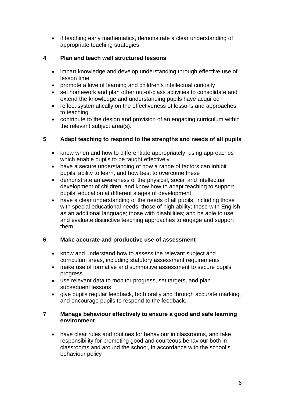• if teaching early mathematics, demonstrate a clear understanding of appropriate teaching strategies.

# **4 Plan and teach well structured lessons**

- impart knowledge and develop understanding through effective use of lesson time
- promote a love of learning and children's intellectual curiosity
- set homework and plan other out-of-class activities to consolidate and extend the knowledge and understanding pupils have acquired
- reflect systematically on the effectiveness of lessons and approaches to teaching
- contribute to the design and provision of an engaging curriculum within the relevant subject area(s).

# **5 Adapt teaching to respond to the strengths and needs of all pupils**

- know when and how to differentiate appropriately, using approaches which enable pupils to be taught effectively
- have a secure understanding of how a range of factors can inhibit pupils' ability to learn, and how best to overcome these
- demonstrate an awareness of the physical, social and intellectual development of children, and know how to adapt teaching to support pupils' education at different stages of development
- have a clear understanding of the needs of all pupils, including those with special educational needs; those of high ability; those with English as an additional language; those with disabilities; and be able to use and evaluate distinctive teaching approaches to engage and support them.

# **6 Make accurate and productive use of assessment**

- know and understand how to assess the relevant subject and curriculum areas, including statutory assessment requirements
- make use of formative and summative assessment to secure pupils' progress
- use relevant data to monitor progress, set targets, and plan subsequent lessons
- give pupils regular feedback, both orally and through accurate marking, and encourage pupils to respond to the feedback.

# **7 Manage behaviour effectively to ensure a good and safe learning environment**

 have clear rules and routines for behaviour in classrooms, and take responsibility for promoting good and courteous behaviour both in classrooms and around the school, in accordance with the school's behaviour policy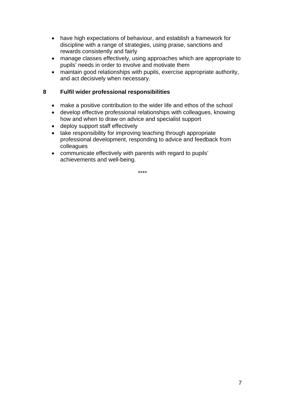- have high expectations of behaviour, and establish a framework for discipline with a range of strategies, using praise, sanctions and rewards consistently and fairly
- manage classes effectively, using approaches which are appropriate to pupils' needs in order to involve and motivate them
- maintain good relationships with pupils, exercise appropriate authority, and act decisively when necessary.

# **8 Fulfil wider professional responsibilities**

- make a positive contribution to the wider life and ethos of the school
- develop effective professional relationships with colleagues, knowing how and when to draw on advice and specialist support
- deploy support staff effectively
- take responsibility for improving teaching through appropriate professional development, responding to advice and feedback from colleagues
- communicate effectively with parents with regard to pupils' achievements and well-being.

\*\*\*\*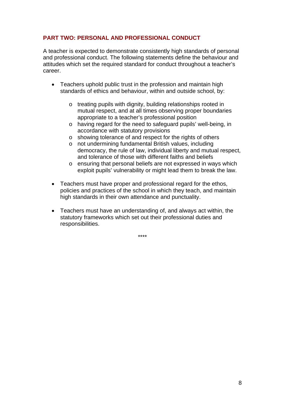# **PART TWO: PERSONAL AND PROFESSIONAL CONDUCT**

A teacher is expected to demonstrate consistently high standards of personal and professional conduct. The following statements define the behaviour and attitudes which set the required standard for conduct throughout a teacher's career.

- Teachers uphold public trust in the profession and maintain high standards of ethics and behaviour, within and outside school, by:
	- o treating pupils with dignity, building relationships rooted in mutual respect, and at all times observing proper boundaries appropriate to a teacher's professional position
	- o having regard for the need to safeguard pupils' well-being, in accordance with statutory provisions
	- o showing tolerance of and respect for the rights of others
	- o not undermining fundamental British values, including democracy, the rule of law, individual liberty and mutual respect, and tolerance of those with different faiths and beliefs
	- o ensuring that personal beliefs are not expressed in ways which exploit pupils' vulnerability or might lead them to break the law.
- Teachers must have proper and professional regard for the ethos, policies and practices of the school in which they teach, and maintain high standards in their own attendance and punctuality.
- Teachers must have an understanding of, and always act within, the statutory frameworks which set out their professional duties and responsibilities.

\*\*\*\*